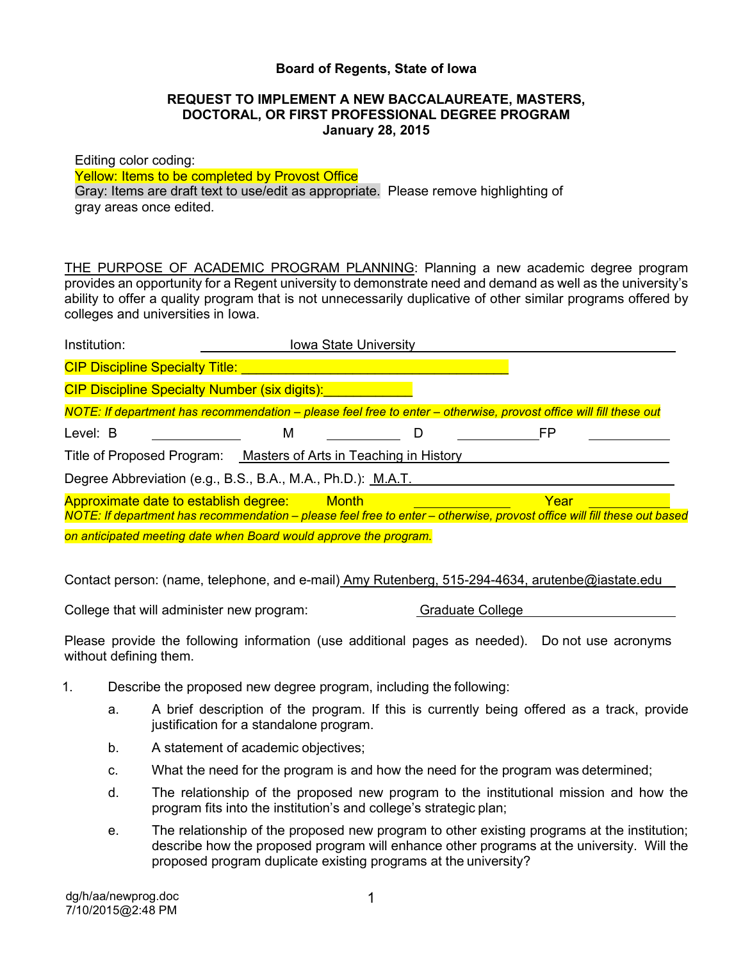#### **Board of Regents, State of Iowa**

#### **REQUEST TO IMPLEMENT A NEW BACCALAUREATE, MASTERS, DOCTORAL, OR FIRST PROFESSIONAL DEGREE PROGRAM January 28, 2015**

Editing color coding: Yellow: Items to be completed by Provost Office Gray: Items are draft text to use/edit as appropriate. Please remove highlighting of gray areas once edited.

THE PURPOSE OF ACADEMIC PROGRAM PLANNING: Planning a new academic degree program provides an opportunity for a Regent university to demonstrate need and demand as well as the university's ability to offer a quality program that is not unnecessarily duplicative of other similar programs offered by colleges and universities in Iowa.

| Institution:                                         | <b>Iowa State University</b>                                                                                                                                            |  |      |  |  |  |  |
|------------------------------------------------------|-------------------------------------------------------------------------------------------------------------------------------------------------------------------------|--|------|--|--|--|--|
| <b>CIP Discipline Specialty Title:</b>               |                                                                                                                                                                         |  |      |  |  |  |  |
| <b>CIP Discipline Specialty Number (six digits):</b> |                                                                                                                                                                         |  |      |  |  |  |  |
|                                                      | NOTE: If department has recommendation – please feel free to enter – otherwise, provost office will fill these out                                                      |  |      |  |  |  |  |
| Level: B                                             | M                                                                                                                                                                       |  | FP   |  |  |  |  |
|                                                      | Title of Proposed Program: Masters of Arts in Teaching in History                                                                                                       |  |      |  |  |  |  |
|                                                      | Degree Abbreviation (e.g., B.S., B.A., M.A., Ph.D.): M.A.T.                                                                                                             |  |      |  |  |  |  |
|                                                      | Approximate date to establish degree: Month<br>NOTE: If department has recommendation – please feel free to enter – otherwise, provost office will fill these out based |  | Year |  |  |  |  |
|                                                      | on anticipated meeting date when Board would approve the program.                                                                                                       |  |      |  |  |  |  |

Contact person: (name, telephone, and e-mail) Amy Rutenberg, 515-294-4634, arutenbe@iastate.edu

College that will administer new program: Graduate College

Please provide the following information (use additional pages as needed). Do not use acronyms without defining them.

- 1. Describe the proposed new degree program, including the following:
	- a. A brief description of the program. If this is currently being offered as a track, provide justification for a standalone program.
	- b. A statement of academic objectives;
	- c. What the need for the program is and how the need for the program was determined;
	- d. The relationship of the proposed new program to the institutional mission and how the program fits into the institution's and college's strategic plan;
	- e. The relationship of the proposed new program to other existing programs at the institution; describe how the proposed program will enhance other programs at the university. Will the proposed program duplicate existing programs at the university?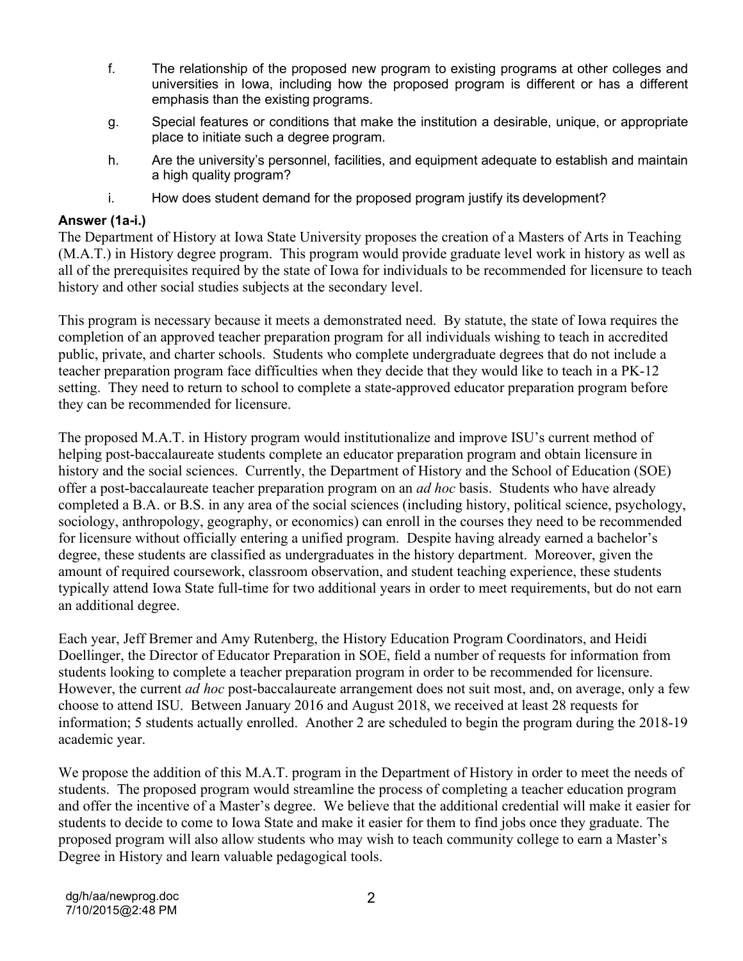- f. The relationship of the proposed new program to existing programs at other colleges and universities in Iowa, including how the proposed program is different or has a different emphasis than the existing programs.
- g. Special features or conditions that make the institution a desirable, unique, or appropriate place to initiate such a degree program.
- h. Are the university's personnel, facilities, and equipment adequate to establish and maintain a high quality program?
- i. How does student demand for the proposed program justify its development?

#### **Answer (1a-i.)**

The Department of History at Iowa State University proposes the creation of a Masters of Arts in Teaching (M.A.T.) in History degree program. This program would provide graduate level work in history as well as all of the prerequisites required by the state of Iowa for individuals to be recommended for licensure to teach history and other social studies subjects at the secondary level.

This program is necessary because it meets a demonstrated need. By statute, the state of Iowa requires the completion of an approved teacher preparation program for all individuals wishing to teach in accredited public, private, and charter schools. Students who complete undergraduate degrees that do not include a teacher preparation program face difficulties when they decide that they would like to teach in a PK-12 setting. They need to return to school to complete a state-approved educator preparation program before they can be recommended for licensure.

The proposed M.A.T. in History program would institutionalize and improve ISU's current method of helping post-baccalaureate students complete an educator preparation program and obtain licensure in history and the social sciences. Currently, the Department of History and the School of Education (SOE) offer a post-baccalaureate teacher preparation program on an *ad hoc* basis. Students who have already completed a B.A. or B.S. in any area of the social sciences (including history, political science, psychology, sociology, anthropology, geography, or economics) can enroll in the courses they need to be recommended for licensure without officially entering a unified program. Despite having already earned a bachelor's degree, these students are classified as undergraduates in the history department. Moreover, given the amount of required coursework, classroom observation, and student teaching experience, these students typically attend Iowa State full-time for two additional years in order to meet requirements, but do not earn an additional degree.

Each year, Jeff Bremer and Amy Rutenberg, the History Education Program Coordinators, and Heidi Doellinger, the Director of Educator Preparation in SOE, field a number of requests for information from students looking to complete a teacher preparation program in order to be recommended for licensure. However, the current *ad hoc* post-baccalaureate arrangement does not suit most, and, on average, only a few choose to attend ISU. Between January 2016 and August 2018, we received at least 28 requests for information; 5 students actually enrolled. Another 2 are scheduled to begin the program during the 2018-19 academic year.

We propose the addition of this M.A.T. program in the Department of History in order to meet the needs of students. The proposed program would streamline the process of completing a teacher education program and offer the incentive of a Master's degree. We believe that the additional credential will make it easier for students to decide to come to Iowa State and make it easier for them to find jobs once they graduate. The proposed program will also allow students who may wish to teach community college to earn a Master's Degree in History and learn valuable pedagogical tools.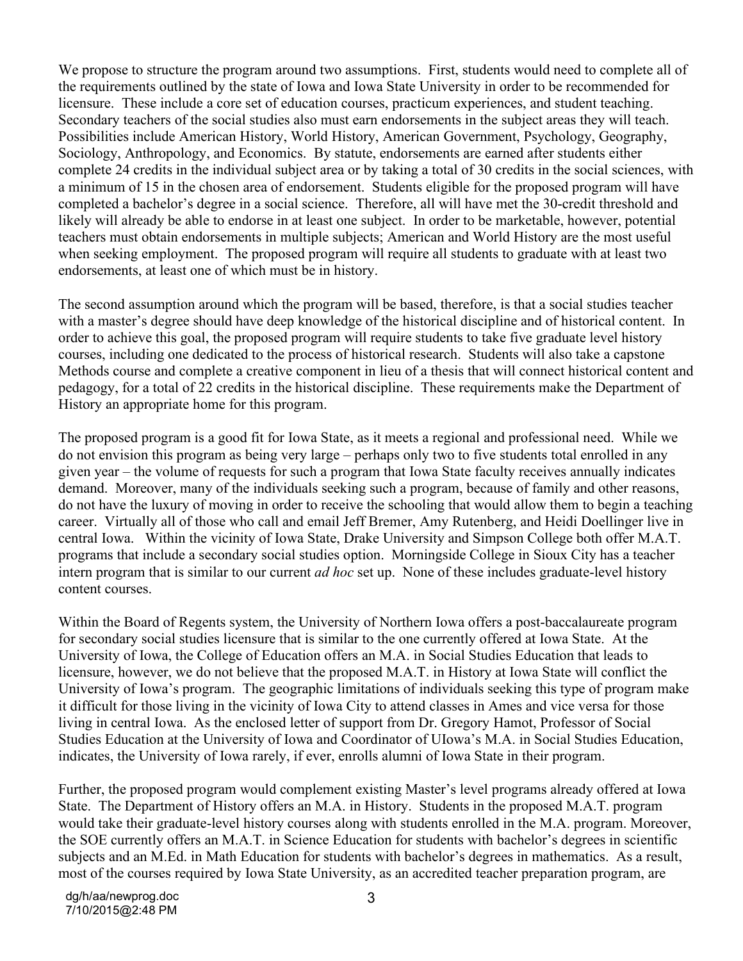We propose to structure the program around two assumptions. First, students would need to complete all of the requirements outlined by the state of Iowa and Iowa State University in order to be recommended for licensure. These include a core set of education courses, practicum experiences, and student teaching. Secondary teachers of the social studies also must earn endorsements in the subject areas they will teach. Possibilities include American History, World History, American Government, Psychology, Geography, Sociology, Anthropology, and Economics. By statute, endorsements are earned after students either complete 24 credits in the individual subject area or by taking a total of 30 credits in the social sciences, with a minimum of 15 in the chosen area of endorsement. Students eligible for the proposed program will have completed a bachelor's degree in a social science. Therefore, all will have met the 30-credit threshold and likely will already be able to endorse in at least one subject. In order to be marketable, however, potential teachers must obtain endorsements in multiple subjects; American and World History are the most useful when seeking employment. The proposed program will require all students to graduate with at least two endorsements, at least one of which must be in history.

The second assumption around which the program will be based, therefore, is that a social studies teacher with a master's degree should have deep knowledge of the historical discipline and of historical content. In order to achieve this goal, the proposed program will require students to take five graduate level history courses, including one dedicated to the process of historical research. Students will also take a capstone Methods course and complete a creative component in lieu of a thesis that will connect historical content and pedagogy, for a total of 22 credits in the historical discipline. These requirements make the Department of History an appropriate home for this program.

The proposed program is a good fit for Iowa State, as it meets a regional and professional need. While we do not envision this program as being very large – perhaps only two to five students total enrolled in any given year – the volume of requests for such a program that Iowa State faculty receives annually indicates demand. Moreover, many of the individuals seeking such a program, because of family and other reasons, do not have the luxury of moving in order to receive the schooling that would allow them to begin a teaching career. Virtually all of those who call and email Jeff Bremer, Amy Rutenberg, and Heidi Doellinger live in central Iowa. Within the vicinity of Iowa State, Drake University and Simpson College both offer M.A.T. programs that include a secondary social studies option. Morningside College in Sioux City has a teacher intern program that is similar to our current *ad hoc* set up. None of these includes graduate-level history content courses.

Within the Board of Regents system, the University of Northern Iowa offers a post-baccalaureate program for secondary social studies licensure that is similar to the one currently offered at Iowa State. At the University of Iowa, the College of Education offers an M.A. in Social Studies Education that leads to licensure, however, we do not believe that the proposed M.A.T. in History at Iowa State will conflict the University of Iowa's program. The geographic limitations of individuals seeking this type of program make it difficult for those living in the vicinity of Iowa City to attend classes in Ames and vice versa for those living in central Iowa. As the enclosed letter of support from Dr. Gregory Hamot, Professor of Social Studies Education at the University of Iowa and Coordinator of UIowa's M.A. in Social Studies Education, indicates, the University of Iowa rarely, if ever, enrolls alumni of Iowa State in their program.

Further, the proposed program would complement existing Master's level programs already offered at Iowa State. The Department of History offers an M.A. in History. Students in the proposed M.A.T. program would take their graduate-level history courses along with students enrolled in the M.A. program. Moreover, the SOE currently offers an M.A.T. in Science Education for students with bachelor's degrees in scientific subjects and an M.Ed. in Math Education for students with bachelor's degrees in mathematics. As a result, most of the courses required by Iowa State University, as an accredited teacher preparation program, are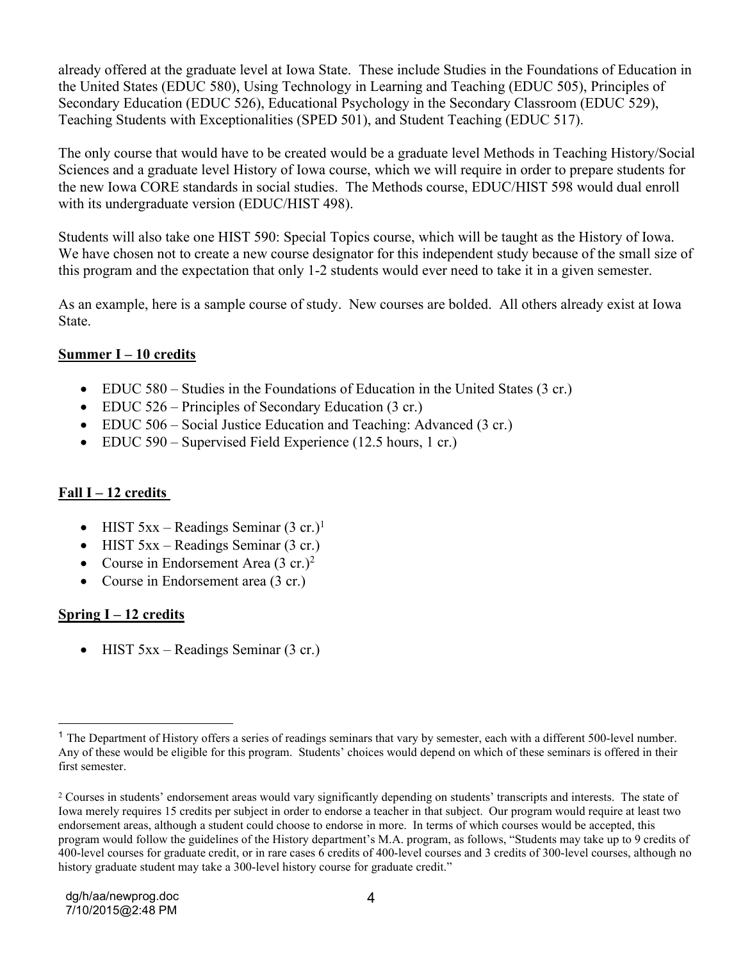already offered at the graduate level at Iowa State. These include Studies in the Foundations of Education in the United States (EDUC 580), Using Technology in Learning and Teaching (EDUC 505), Principles of Secondary Education (EDUC 526), Educational Psychology in the Secondary Classroom (EDUC 529), Teaching Students with Exceptionalities (SPED 501), and Student Teaching (EDUC 517).

The only course that would have to be created would be a graduate level Methods in Teaching History/Social Sciences and a graduate level History of Iowa course, which we will require in order to prepare students for the new Iowa CORE standards in social studies. The Methods course, EDUC/HIST 598 would dual enroll with its undergraduate version (EDUC/HIST 498).

Students will also take one HIST 590: Special Topics course, which will be taught as the History of Iowa. We have chosen not to create a new course designator for this independent study because of the small size of this program and the expectation that only 1-2 students would ever need to take it in a given semester.

As an example, here is a sample course of study. New courses are bolded. All others already exist at Iowa State.

# **Summer I – 10 credits**

- EDUC 580 Studies in the Foundations of Education in the United States (3 cr.)
- EDUC 526 Principles of Secondary Education (3 cr.)
- EDUC 506 Social Justice Education and Teaching: Advanced (3 cr.)
- EDUC 590 Supervised Field Experience (12.5 hours, 1 cr.)

## **Fall I – 12 credits**

- HIST 5xx Readings Seminar  $(3 \text{ cr.})^1$
- HIST  $5xx Readings$  Seminar (3 cr.)
- Course in Endorsement Area  $(3 \text{ cr.})^2$
- Course in Endorsement area (3 cr.)

# **Spring I – 12 credits**

• HIST  $5xx - Readings$  Seminar (3 cr.)

<sup>&</sup>lt;sup>1</sup> The Department of History offers a series of readings seminars that vary by semester, each with a different 500-level number. Any of these would be eligible for this program. Students' choices would depend on which of these seminars is offered in their first semester.

<sup>&</sup>lt;sup>2</sup> Courses in students' endorsement areas would vary significantly depending on students' transcripts and interests. The state of Iowa merely requires 15 credits per subject in order to endorse a teacher in that subject. Our program would require at least two endorsement areas, although a student could choose to endorse in more. In terms of which courses would be accepted, this program would follow the guidelines of the History department's M.A. program, as follows, "Students may take up to 9 credits of 400-level courses for graduate credit, or in rare cases 6 credits of 400-level courses and 3 credits of 300-level courses, although no history graduate student may take a 300-level history course for graduate credit."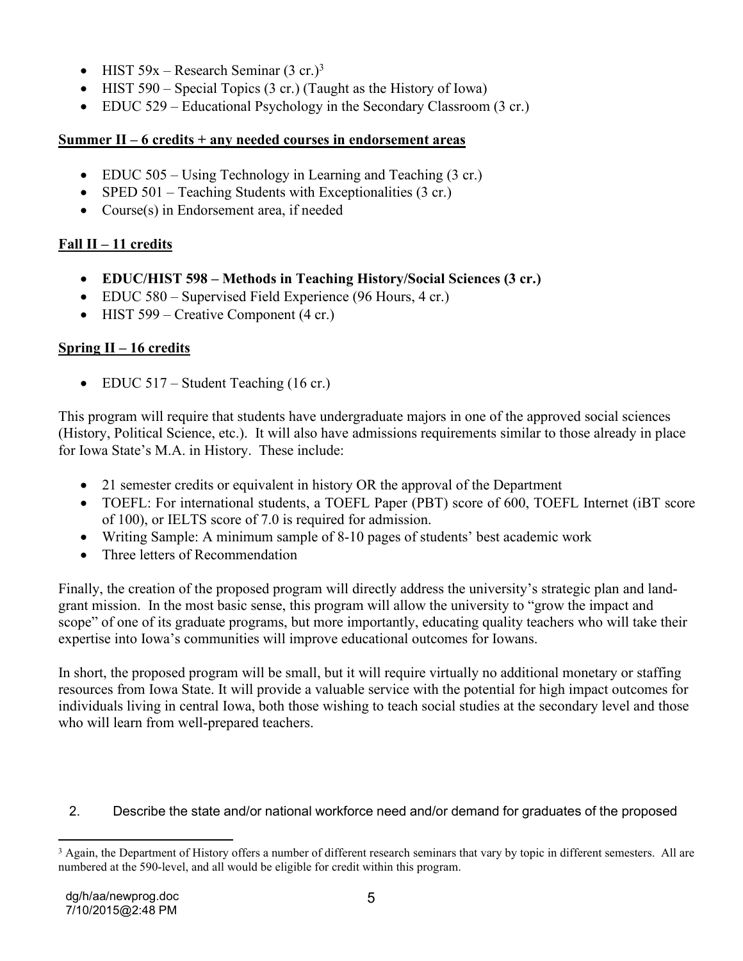- HIST 59x Research Seminar  $(3 \text{ cr.})^3$
- HIST 590 Special Topics  $(3 \text{ cr.})$  (Taught as the History of Iowa)
- EDUC 529 Educational Psychology in the Secondary Classroom (3 cr.)

## **Summer II – 6 credits + any needed courses in endorsement areas**

- EDUC 505 Using Technology in Learning and Teaching (3 cr.)
- SPED 501 Teaching Students with Exceptionalities (3 cr.)
- Course(s) in Endorsement area, if needed

# **Fall II – 11 credits**

- **EDUC/HIST 598 – Methods in Teaching History/Social Sciences (3 cr.)**
- EDUC 580 Supervised Field Experience (96 Hours, 4 cr.)
- HIST 599 Creative Component (4 cr.)

# **Spring II – 16 credits**

• EDUC 517 – Student Teaching (16 cr.)

This program will require that students have undergraduate majors in one of the approved social sciences (History, Political Science, etc.). It will also have admissions requirements similar to those already in place for Iowa State's M.A. in History. These include:

- 21 semester credits or equivalent in history OR the approval of the Department
- TOEFL: For international students, a TOEFL Paper (PBT) score of 600, TOEFL Internet (iBT score of 100), or IELTS score of 7.0 is required for admission.
- Writing Sample: A minimum sample of 8-10 pages of students' best academic work
- Three letters of Recommendation

Finally, the creation of the proposed program will directly address the university's strategic plan and landgrant mission. In the most basic sense, this program will allow the university to "grow the impact and scope" of one of its graduate programs, but more importantly, educating quality teachers who will take their expertise into Iowa's communities will improve educational outcomes for Iowans.

In short, the proposed program will be small, but it will require virtually no additional monetary or staffing resources from Iowa State. It will provide a valuable service with the potential for high impact outcomes for individuals living in central Iowa, both those wishing to teach social studies at the secondary level and those who will learn from well-prepared teachers.

2. Describe the state and/or national workforce need and/or demand for graduates of the proposed

 $\overline{a}$ <sup>3</sup> Again, the Department of History offers a number of different research seminars that vary by topic in different semesters. All are numbered at the 590-level, and all would be eligible for credit within this program.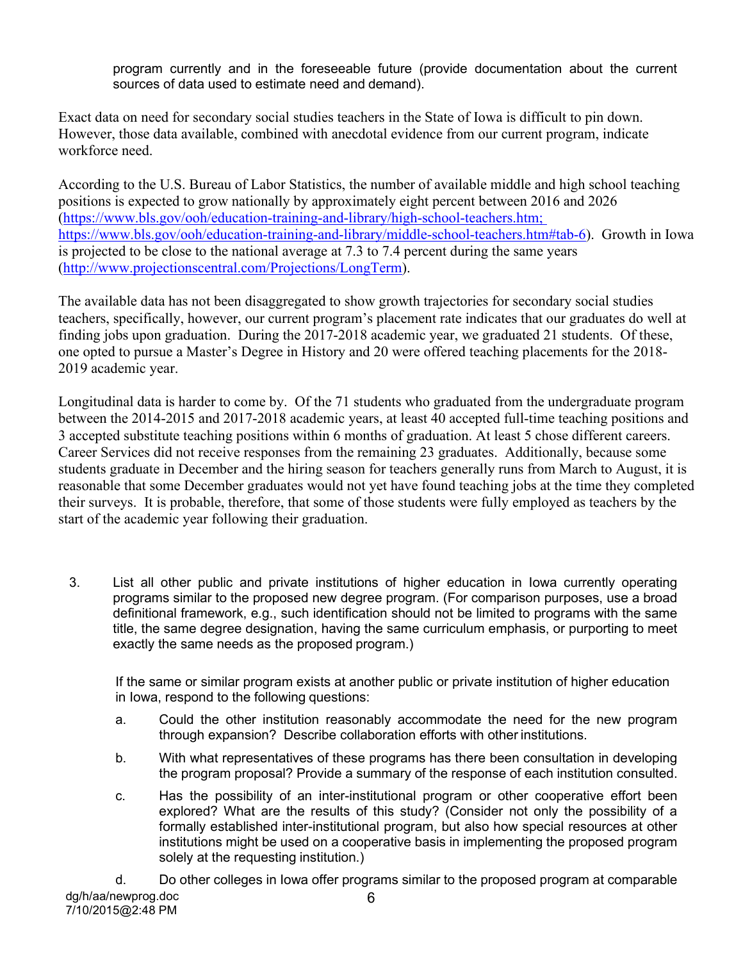program currently and in the foreseeable future (provide documentation about the current sources of data used to estimate need and demand).

Exact data on need for secondary social studies teachers in the State of Iowa is difficult to pin down. However, those data available, combined with anecdotal evidence from our current program, indicate workforce need.

According to the U.S. Bureau of Labor Statistics, the number of available middle and high school teaching positions is expected to grow nationally by approximately eight percent between 2016 and 2026 (https://www.bls.gov/ooh/education-training-and-library/high-school-teachers.htm; https://www.bls.gov/ooh/education-training-and-library/middle-school-teachers.htm#tab-6). Growth in Iowa is projected to be close to the national average at 7.3 to 7.4 percent during the same years (http://www.projectionscentral.com/Projections/LongTerm).

The available data has not been disaggregated to show growth trajectories for secondary social studies teachers, specifically, however, our current program's placement rate indicates that our graduates do well at finding jobs upon graduation. During the 2017-2018 academic year, we graduated 21 students. Of these, one opted to pursue a Master's Degree in History and 20 were offered teaching placements for the 2018- 2019 academic year.

Longitudinal data is harder to come by. Of the 71 students who graduated from the undergraduate program between the 2014-2015 and 2017-2018 academic years, at least 40 accepted full-time teaching positions and 3 accepted substitute teaching positions within 6 months of graduation. At least 5 chose different careers. Career Services did not receive responses from the remaining 23 graduates. Additionally, because some students graduate in December and the hiring season for teachers generally runs from March to August, it is reasonable that some December graduates would not yet have found teaching jobs at the time they completed their surveys. It is probable, therefore, that some of those students were fully employed as teachers by the start of the academic year following their graduation.

3. List all other public and private institutions of higher education in Iowa currently operating programs similar to the proposed new degree program. (For comparison purposes, use a broad definitional framework, e.g., such identification should not be limited to programs with the same title, the same degree designation, having the same curriculum emphasis, or purporting to meet exactly the same needs as the proposed program.)

If the same or similar program exists at another public or private institution of higher education in Iowa, respond to the following questions:

- a. Could the other institution reasonably accommodate the need for the new program through expansion? Describe collaboration efforts with other institutions.
- b. With what representatives of these programs has there been consultation in developing the program proposal? Provide a summary of the response of each institution consulted.
- c. Has the possibility of an inter-institutional program or other cooperative effort been explored? What are the results of this study? (Consider not only the possibility of a formally established inter-institutional program, but also how special resources at other institutions might be used on a cooperative basis in implementing the proposed program solely at the requesting institution.)
- 6 d. Do other colleges in Iowa offer programs similar to the proposed program at comparable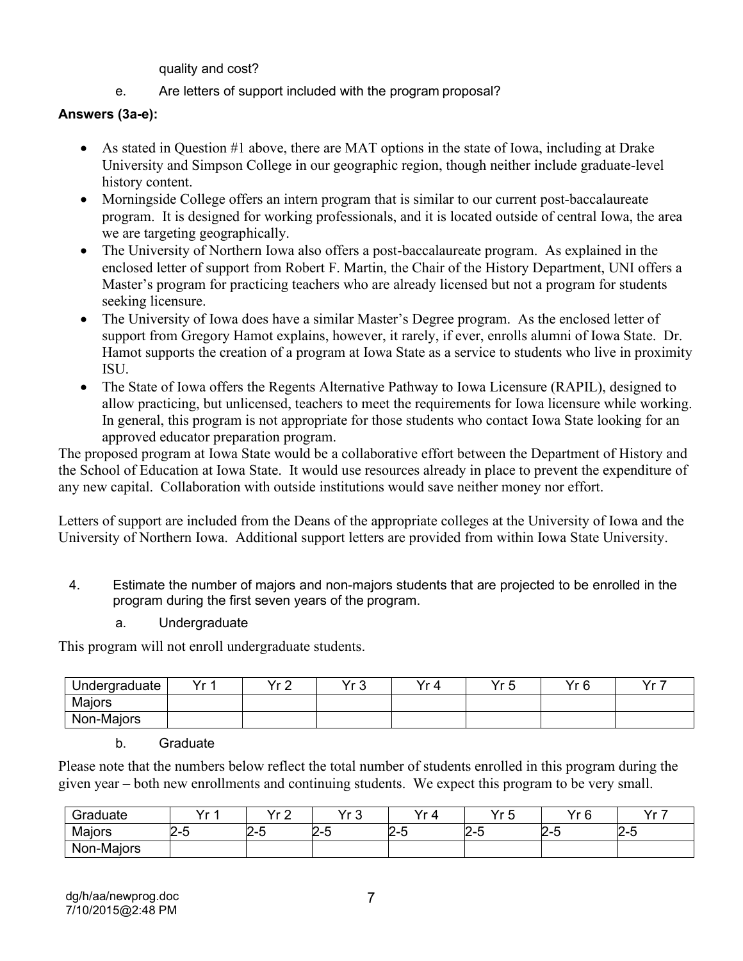quality and cost?

# e. Are letters of support included with the program proposal?

# **Answers (3a-e):**

- As stated in Question #1 above, there are MAT options in the state of Iowa, including at Drake University and Simpson College in our geographic region, though neither include graduate-level history content.
- Morningside College offers an intern program that is similar to our current post-baccalaureate program. It is designed for working professionals, and it is located outside of central Iowa, the area we are targeting geographically.
- The University of Northern Iowa also offers a post-baccalaureate program. As explained in the enclosed letter of support from Robert F. Martin, the Chair of the History Department, UNI offers a Master's program for practicing teachers who are already licensed but not a program for students seeking licensure.
- The University of Iowa does have a similar Master's Degree program. As the enclosed letter of support from Gregory Hamot explains, however, it rarely, if ever, enrolls alumni of Iowa State. Dr. Hamot supports the creation of a program at Iowa State as a service to students who live in proximity ISU.
- The State of Iowa offers the Regents Alternative Pathway to Iowa Licensure (RAPIL), designed to allow practicing, but unlicensed, teachers to meet the requirements for Iowa licensure while working. In general, this program is not appropriate for those students who contact Iowa State looking for an approved educator preparation program.

The proposed program at Iowa State would be a collaborative effort between the Department of History and the School of Education at Iowa State. It would use resources already in place to prevent the expenditure of any new capital. Collaboration with outside institutions would save neither money nor effort.

Letters of support are included from the Deans of the appropriate colleges at the University of Iowa and the University of Northern Iowa. Additional support letters are provided from within Iowa State University.

- 4. Estimate the number of majors and non-majors students that are projected to be enrolled in the program during the first seven years of the program.
	- a. Undergraduate

This program will not enroll undergraduate students.

| Undergraduate | Vr <sub>r</sub> | $V_{r}$ $\Omega$<br>∼ | Vr 2<br>ັ | $Yr\varDelta$ | Vr 5 | Vr R | $V_r$ 7 |
|---------------|-----------------|-----------------------|-----------|---------------|------|------|---------|
| Majors        |                 |                       |           |               |      |      |         |
| Non-Majors    |                 |                       |           |               |      |      |         |

## b. Graduate

Please note that the numbers below reflect the total number of students enrolled in this program during the given year – both new enrollments and continuing students. We expect this program to be very small.

| $\sim$<br>Graduate | $\mathcal{L}$               | $V - \Omega$<br>. . <i>.</i> | $V - 2$<br>ັ         | Vr<br>$\overline{\phantom{a}}$ | Vr L<br>. .<br>J | $V_{\rm m}$<br>$\sqrt{2}$<br>6 | $V_r$ 7            |
|--------------------|-----------------------------|------------------------------|----------------------|--------------------------------|------------------|--------------------------------|--------------------|
| Majors             | r<br>E<br><br>, .<br>▵<br>ັ | <br>∕ –<br>∼<br>_            | . .<br>--<br>-ت<br>∼ | r<br>▱<br>∼                    | n<br>c           | -<br>/ = 1<br>-                | r<br>. .<br>c<br>w |
| Non-Majors         |                             |                              |                      |                                |                  |                                |                    |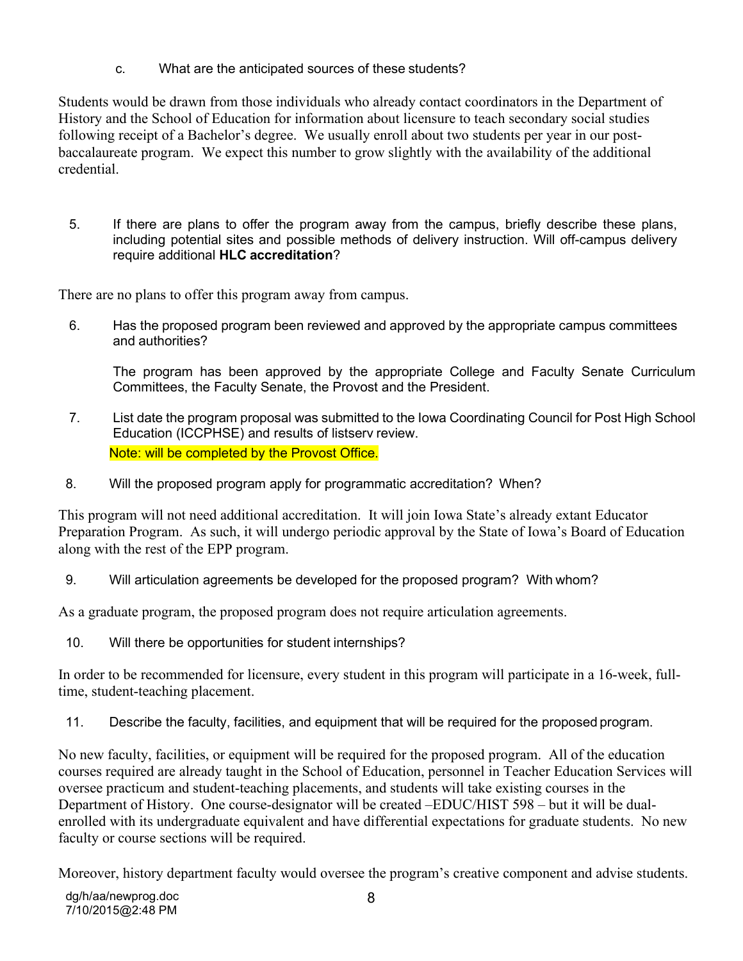c. What are the anticipated sources of these students?

Students would be drawn from those individuals who already contact coordinators in the Department of History and the School of Education for information about licensure to teach secondary social studies following receipt of a Bachelor's degree. We usually enroll about two students per year in our postbaccalaureate program. We expect this number to grow slightly with the availability of the additional credential.

5. If there are plans to offer the program away from the campus, briefly describe these plans, including potential sites and possible methods of delivery instruction. Will off-campus delivery require additional **HLC accreditation**?

There are no plans to offer this program away from campus.

6. Has the proposed program been reviewed and approved by the appropriate campus committees and authorities?

The program has been approved by the appropriate College and Faculty Senate Curriculum Committees, the Faculty Senate, the Provost and the President.

- 7. List date the program proposal was submitted to the Iowa Coordinating Council for Post High School Education (ICCPHSE) and results of listserv review. Note: will be completed by the Provost Office.
- 8. Will the proposed program apply for programmatic accreditation? When?

This program will not need additional accreditation.It will join Iowa State's already extant Educator Preparation Program. As such, it will undergo periodic approval by the State of Iowa's Board of Education along with the rest of the EPP program.

9. Will articulation agreements be developed for the proposed program? With whom?

As a graduate program, the proposed program does not require articulation agreements.

10. Will there be opportunities for student internships?

In order to be recommended for licensure, every student in this program will participate in a 16-week, fulltime, student-teaching placement.

11. Describe the faculty, facilities, and equipment that will be required for the proposed program.

No new faculty, facilities, or equipment will be required for the proposed program. All of the education courses required are already taught in the School of Education, personnel in Teacher Education Services will oversee practicum and student-teaching placements, and students will take existing courses in the Department of History. One course-designator will be created –EDUC/HIST 598 – but it will be dualenrolled with its undergraduate equivalent and have differential expectations for graduate students. No new faculty or course sections will be required.

Moreover, history department faculty would oversee the program's creative component and advise students.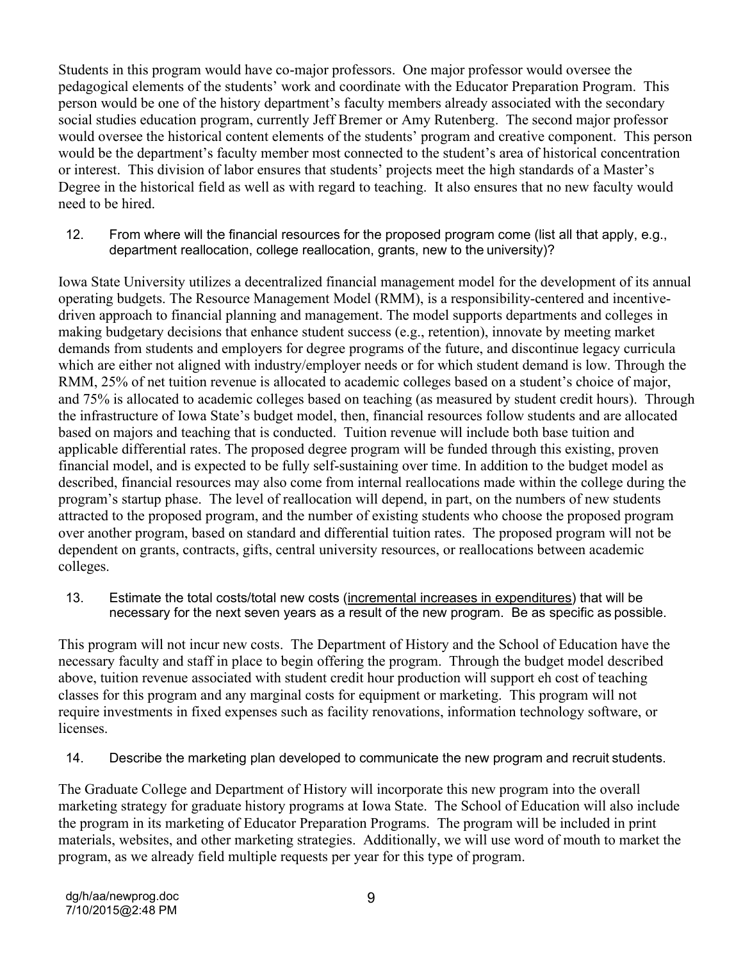Students in this program would have co-major professors. One major professor would oversee the pedagogical elements of the students' work and coordinate with the Educator Preparation Program. This person would be one of the history department's faculty members already associated with the secondary social studies education program, currently Jeff Bremer or Amy Rutenberg. The second major professor would oversee the historical content elements of the students' program and creative component. This person would be the department's faculty member most connected to the student's area of historical concentration or interest. This division of labor ensures that students' projects meet the high standards of a Master's Degree in the historical field as well as with regard to teaching. It also ensures that no new faculty would need to be hired.

12. From where will the financial resources for the proposed program come (list all that apply, e.g., department reallocation, college reallocation, grants, new to the university)?

Iowa State University utilizes a decentralized financial management model for the development of its annual operating budgets. The Resource Management Model (RMM), is a responsibility-centered and incentivedriven approach to financial planning and management. The model supports departments and colleges in making budgetary decisions that enhance student success (e.g., retention), innovate by meeting market demands from students and employers for degree programs of the future, and discontinue legacy curricula which are either not aligned with industry/employer needs or for which student demand is low. Through the RMM, 25% of net tuition revenue is allocated to academic colleges based on a student's choice of major, and 75% is allocated to academic colleges based on teaching (as measured by student credit hours). Through the infrastructure of Iowa State's budget model, then, financial resources follow students and are allocated based on majors and teaching that is conducted. Tuition revenue will include both base tuition and applicable differential rates. The proposed degree program will be funded through this existing, proven financial model, and is expected to be fully self-sustaining over time. In addition to the budget model as described, financial resources may also come from internal reallocations made within the college during the program's startup phase. The level of reallocation will depend, in part, on the numbers of new students attracted to the proposed program, and the number of existing students who choose the proposed program over another program, based on standard and differential tuition rates. The proposed program will not be dependent on grants, contracts, gifts, central university resources, or reallocations between academic colleges.

13. Estimate the total costs/total new costs (incremental increases in expenditures) that will be necessary for the next seven years as a result of the new program. Be as specific as possible.

This program will not incur new costs. The Department of History and the School of Education have the necessary faculty and staff in place to begin offering the program. Through the budget model described above, tuition revenue associated with student credit hour production will support eh cost of teaching classes for this program and any marginal costs for equipment or marketing. This program will not require investments in fixed expenses such as facility renovations, information technology software, or licenses.

14. Describe the marketing plan developed to communicate the new program and recruit students.

The Graduate College and Department of History will incorporate this new program into the overall marketing strategy for graduate history programs at Iowa State. The School of Education will also include the program in its marketing of Educator Preparation Programs. The program will be included in print materials, websites, and other marketing strategies. Additionally, we will use word of mouth to market the program, as we already field multiple requests per year for this type of program.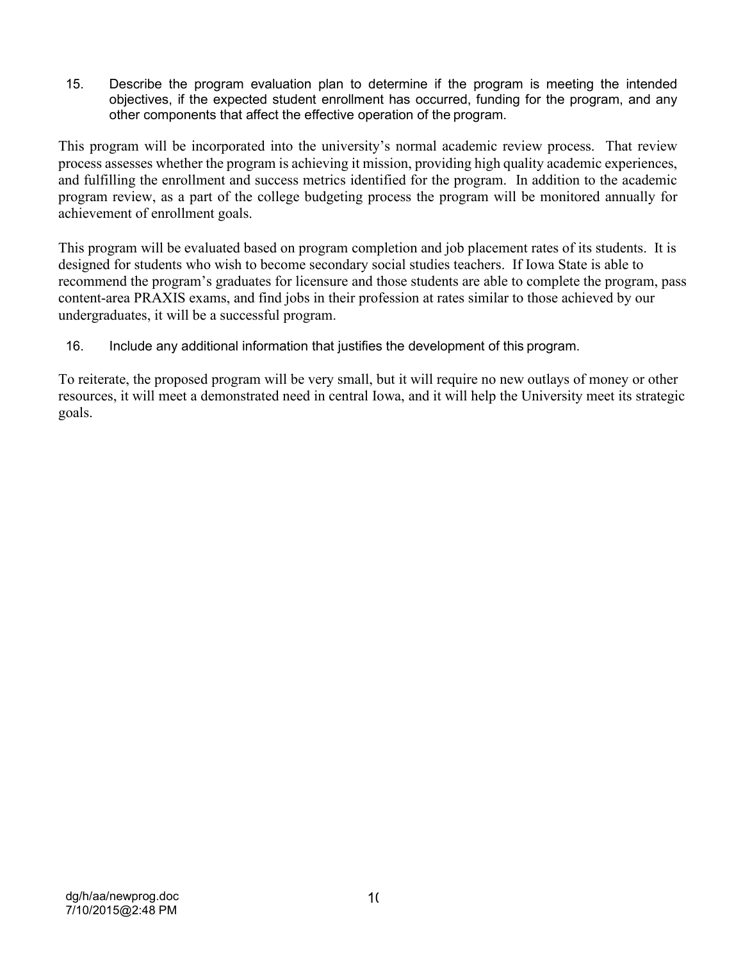15. Describe the program evaluation plan to determine if the program is meeting the intended objectives, if the expected student enrollment has occurred, funding for the program, and any other components that affect the effective operation of the program.

This program will be incorporated into the university's normal academic review process. That review process assesses whether the program is achieving it mission, providing high quality academic experiences, and fulfilling the enrollment and success metrics identified for the program. In addition to the academic program review, as a part of the college budgeting process the program will be monitored annually for achievement of enrollment goals.

This program will be evaluated based on program completion and job placement rates of its students. It is designed for students who wish to become secondary social studies teachers. If Iowa State is able to recommend the program's graduates for licensure and those students are able to complete the program, pass content-area PRAXIS exams, and find jobs in their profession at rates similar to those achieved by our undergraduates, it will be a successful program.

16. Include any additional information that justifies the development of this program.

To reiterate, the proposed program will be very small, but it will require no new outlays of money or other resources, it will meet a demonstrated need in central Iowa, and it will help the University meet its strategic goals.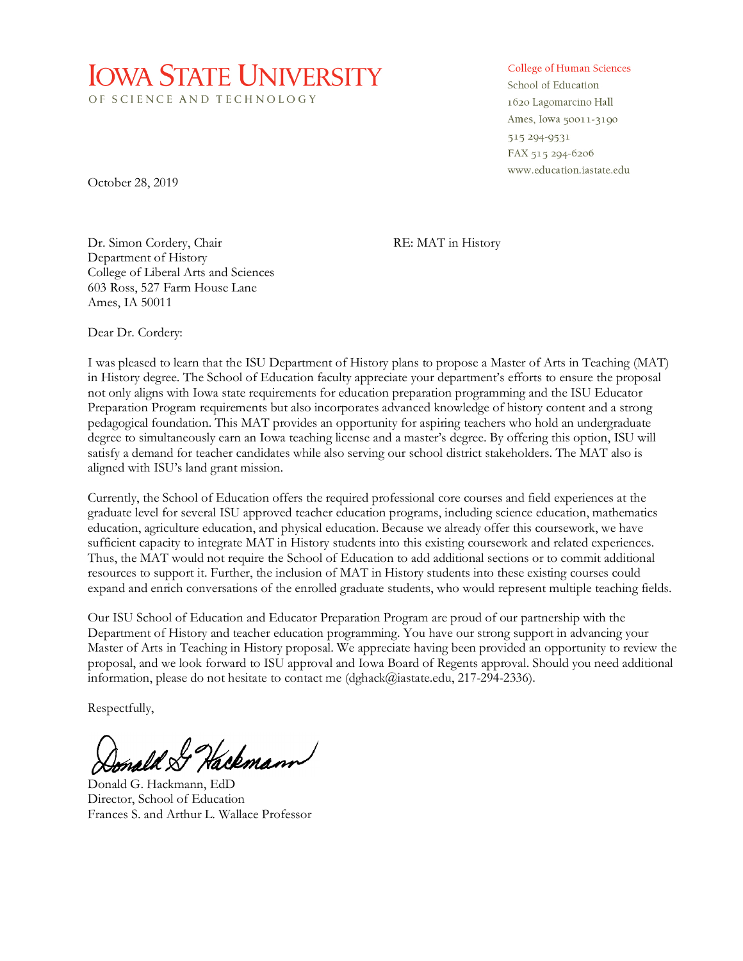# **IOWA STATE UNIVERSITY** OF SCIENCE AND TECHNOLOGY

#### College of Human Sciences

School of Education 1620 Lagomarcino Hall Ames, Iowa 50011-3190 515 294-9531 FAX 515 294-6206 www.education.iastate.edu

October 28, 2019

Dr. Simon Cordery, Chair RE: MAT in History Department of History College of Liberal Arts and Sciences 603 Ross, 527 Farm House Lane Ames, IA 50011

Dear Dr. Cordery:

I was pleased to learn that the ISU Department of History plans to propose a Master of Arts in Teaching (MAT) in History degree. The School of Education faculty appreciate your department's efforts to ensure the proposal not only aligns with Iowa state requirements for education preparation programming and the ISU Educator Preparation Program requirements but also incorporates advanced knowledge of history content and a strong pedagogical foundation. This MAT provides an opportunity for aspiring teachers who hold an undergraduate degree to simultaneously earn an Iowa teaching license and a master's degree. By offering this option, ISU will satisfy a demand for teacher candidates while also serving our school district stakeholders. The MAT also is aligned with ISU's land grant mission.

Currently, the School of Education offers the required professional core courses and field experiences at the graduate level for several ISU approved teacher education programs, including science education, mathematics education, agriculture education, and physical education. Because we already offer this coursework, we have sufficient capacity to integrate MAT in History students into this existing coursework and related experiences. Thus, the MAT would not require the School of Education to add additional sections or to commit additional resources to support it. Further, the inclusion of MAT in History students into these existing courses could expand and enrich conversations of the enrolled graduate students, who would represent multiple teaching fields.

Our ISU School of Education and Educator Preparation Program are proud of our partnership with the Department of History and teacher education programming. You have our strong support in advancing your Master of Arts in Teaching in History proposal. We appreciate having been provided an opportunity to review the proposal, and we look forward to ISU approval and Iowa Board of Regents approval. Should you need additional information, please do not hesitate to contact me (dghack@iastate.edu, 217-294-2336).

Respectfully,

Inald & Hackmann

Donald G. Hackmann, EdD Director, School of Education Frances S. and Arthur L. Wallace Professor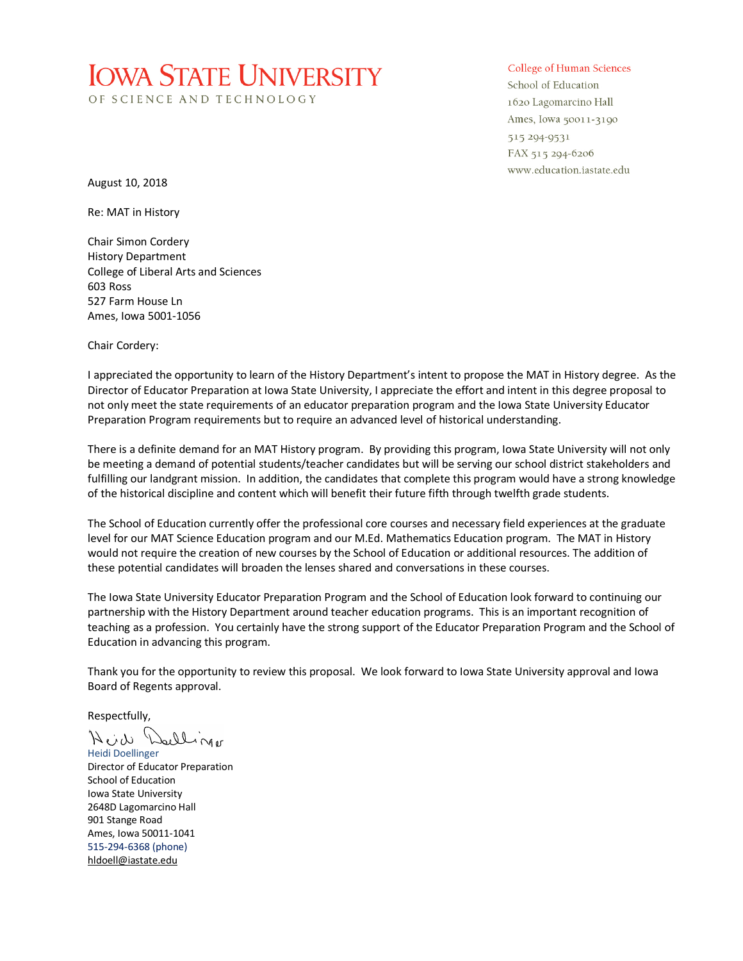# **IOWA STATE UNIVERSITY** OF SCIENCE AND TECHNOLOGY

#### **College of Human Sciences**

School of Education 1620 Lagomarcino Hall Ames, Iowa 50011-3190 515 294-9531 FAX 515 294-6206 www.education.iastate.edu

August 10, 2018

Re: MAT in History

Chair Simon Cordery History Department College of Liberal Arts and Sciences 603 Ross 527 Farm House Ln Ames, Iowa 5001-1056

Chair Cordery:

I appreciated the opportunity to learn of the History Department's intent to propose the MAT in History degree. As the Director of Educator Preparation at Iowa State University, I appreciate the effort and intent in this degree proposal to not only meet the state requirements of an educator preparation program and the Iowa State University Educator Preparation Program requirements but to require an advanced level of historical understanding.

There is a definite demand for an MAT History program. By providing this program, Iowa State University will not only be meeting a demand of potential students/teacher candidates but will be serving our school district stakeholders and fulfilling our landgrant mission. In addition, the candidates that complete this program would have a strong knowledge of the historical discipline and content which will benefit their future fifth through twelfth grade students.

The School of Education currently offer the professional core courses and necessary field experiences at the graduate level for our MAT Science Education program and our M.Ed. Mathematics Education program. The MAT in History would not require the creation of new courses by the School of Education or additional resources. The addition of these potential candidates will broaden the lenses shared and conversations in these courses.

The Iowa State University Educator Preparation Program and the School of Education look forward to continuing our partnership with the History Department around teacher education programs. This is an important recognition of teaching as a profession. You certainly have the strong support of the Educator Preparation Program and the School of Education in advancing this program.

Thank you for the opportunity to review this proposal. We look forward to Iowa State University approval and Iowa Board of Regents approval.

Respectfully,

Hud Dellinger Heidi Doellinger

Director of Educator Preparation School of Education Iowa State University 2648D Lagomarcino Hall 901 Stange Road Ames, Iowa 50011-1041 515-294-6368 (phone) hldoell@iastate.edu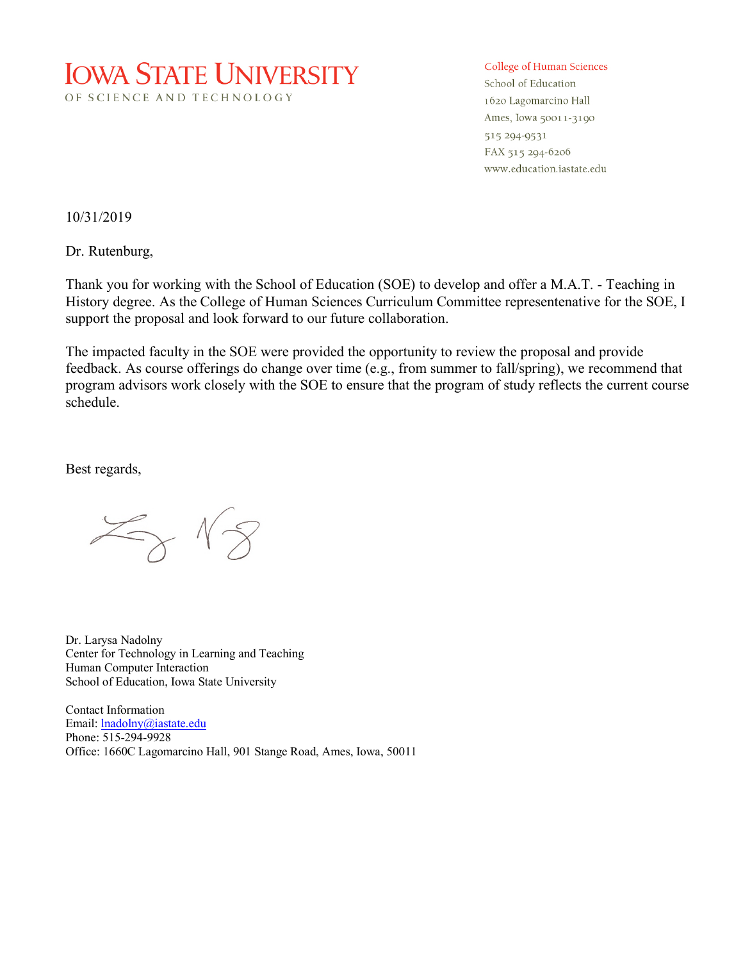

**College of Human Sciences** 

School of Education 1620 Lagomarcino Hall Ames, Iowa 50011-3190 515 294-9531 FAX 515 294-6206 www.education.iastate.edu

10/31/2019

Dr. Rutenburg,

Thank you for working with the School of Education (SOE) to develop and offer a M.A.T. - Teaching in History degree. As the College of Human Sciences Curriculum Committee representenative for the SOE, I support the proposal and look forward to our future collaboration.

The impacted faculty in the SOE were provided the opportunity to review the proposal and provide feedback. As course offerings do change over time (e.g., from summer to fall/spring), we recommend that program advisors work closely with the SOE to ensure that the program of study reflects the current course schedule.

Best regards,

 $Z_{\gamma}$   $\sqrt{\gamma}$ 

Dr. Larysa Nadolny Center for Technology in Learning and Teaching Human Computer Interaction School of Education, Iowa State University

Contact Information Email: lnadolny@iastate.edu Phone: 515-294-9928 Office: 1660C Lagomarcino Hall, 901 Stange Road, Ames, Iowa, 50011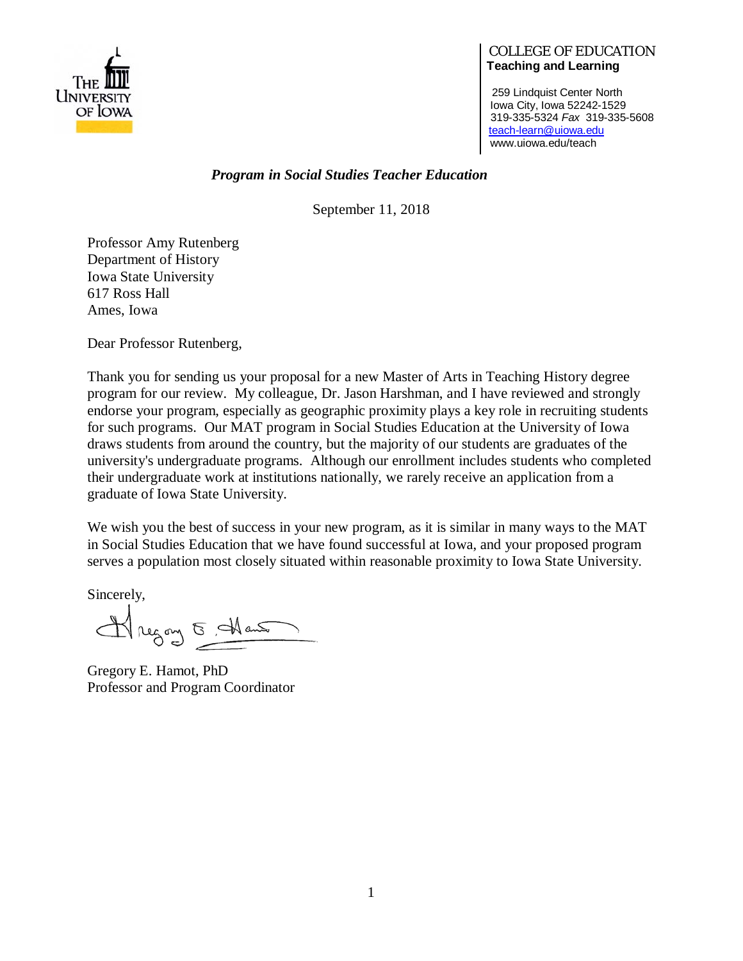

#### COLLEGE OF EDUCATION **Teaching and Learning**

 259 Lindquist Center North Iowa City, Iowa 52242-1529 319-335-5324 *Fax* 319-335-5608 [teach-learn@uiowa.edu](mailto:teach-learn@uiowa.edu) www.uiowa.edu/teach

## *Program in Social Studies Teacher Education*

September 11, 2018

Professor Amy Rutenberg Department of History Iowa State University 617 Ross Hall Ames, Iowa

Dear Professor Rutenberg,

Thank you for sending us your proposal for a new Master of Arts in Teaching History degree program for our review. My colleague, Dr. Jason Harshman, and I have reviewed and strongly endorse your program, especially as geographic proximity plays a key role in recruiting students for such programs. Our MAT program in Social Studies Education at the University of Iowa draws students from around the country, but the majority of our students are graduates of the university's undergraduate programs. Although our enrollment includes students who completed their undergraduate work at institutions nationally, we rarely receive an application from a graduate of Iowa State University.

We wish you the best of success in your new program, as it is similar in many ways to the MAT in Social Studies Education that we have found successful at Iowa, and your proposed program serves a population most closely situated within reasonable proximity to Iowa State University.

Sincerely,

Hregon 5. Hans

Gregory E. Hamot, PhD Professor and Program Coordinator